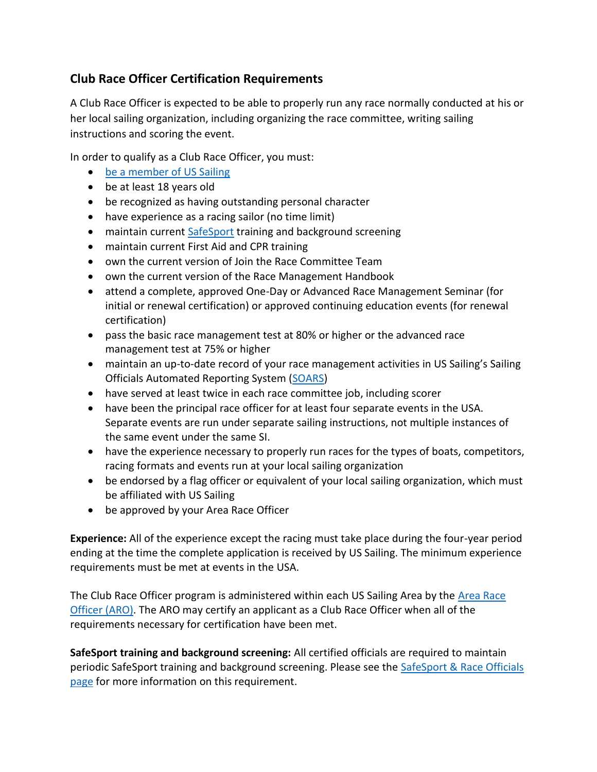## **Club Race Officer Certification Requirements**

A Club Race Officer is expected to be able to properly run any race normally conducted at his or her local sailing organization, including organizing the race committee, writing sailing instructions and scoring the event.

In order to qualify as a Club Race Officer, you must:

- [be a member of US Sailing](https://www.ussailing.org/membership/)
- be at least 18 years old
- be recognized as having outstanding personal character
- have experience as a racing sailor (no time limit)
- maintain current [SafeSport](https://www.ussailing.org/competition/rules-officiating/resources/safesport-race-officals/) training and background screening
- maintain current First Aid and CPR training
- own the current version of Join the Race Committee Team
- own the current version of the Race Management Handbook
- attend a complete, approved One-Day or Advanced Race Management Seminar (for initial or renewal certification) or approved continuing education events (for renewal certification)
- pass the basic race management test at 80% or higher or the advanced race management test at 75% or higher
- maintain an up-to-date record of your race management activities in US Sailing's Sailing Officials Automated Reporting System [\(SOARS\)](https://www1.ussailing.org/user/login.aspx?returnUrl=~/SOARS/MainMenu.aspx)
- have served at least twice in each race committee job, including scorer
- have been the principal race officer for at least four separate events in the USA. Separate events are run under separate sailing instructions, not multiple instances of the same event under the same SI.
- have the experience necessary to properly run races for the types of boats, competitors, racing formats and events run at your local sailing organization
- be endorsed by a flag officer or equivalent of your local sailing organization, which must be affiliated with US Sailing
- be approved by your Area Race Officer

**Experience:** All of the experience except the racing must take place during the four-year period ending at the time the complete application is received by US Sailing. The minimum experience requirements must be met at events in the USA.

The Club Race Officer program is administered within each US Sailing Area by the [Area Race](https://www.ussailing.org/competition/rules-officiating/race-officers/)  [Officer \(ARO\).](https://www.ussailing.org/competition/rules-officiating/race-officers/) The ARO may certify an applicant as a Club Race Officer when all of the requirements necessary for certification have been met.

**SafeSport training and background screening:** All certified officials are required to maintain periodic SafeSport training and background screening. Please see the SafeSport & Race Officials [page](https://www.ussailing.org/competition/rules-officiating/resources/safesport-race-officals/) for more information on this requirement.